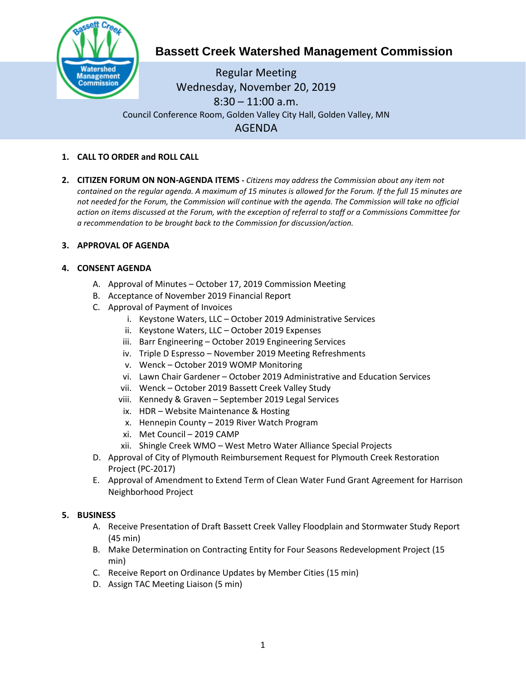

# **Bassett Creek Watershed Management Commission**

Regular Meeting Wednesday, November 20, 2019  $8:30 - 11:00$  a.m. Council Conference Room, Golden Valley City Hall, Golden Valley, MN AGENDA

- **1. CALL TO ORDER and ROLL CALL**
- **2. CITIZEN FORUM ON NON-AGENDA ITEMS -** *Citizens may address the Commission about any item not contained on the regular agenda. A maximum of 15 minutes is allowed for the Forum. If the full 15 minutes are*  not needed for the Forum, the Commission will continue with the agenda. The Commission will take no official *action on items discussed at the Forum, with the exception of referral to staff or a Commissions Committee for a recommendation to be brought back to the Commission for discussion/action.*

## **3. APPROVAL OF AGENDA**

## **4. CONSENT AGENDA**

- A. Approval of Minutes October 17, 2019 Commission Meeting
- B. Acceptance of November 2019 Financial Report
- C. Approval of Payment of Invoices
	- i. Keystone Waters, LLC October 2019 Administrative Services
	- ii. Keystone Waters, LLC October 2019 Expenses
	- iii. Barr Engineering October 2019 Engineering Services
	- iv. Triple D Espresso November 2019 Meeting Refreshments
	- v. Wenck October 2019 WOMP Monitoring
	- vi. Lawn Chair Gardener October 2019 Administrative and Education Services
	- vii. Wenck October 2019 Bassett Creek Valley Study
	- viii. Kennedy & Graven September 2019 Legal Services
	- ix. HDR Website Maintenance & Hosting
	- x. Hennepin County 2019 River Watch Program
	- xi. Met Council 2019 CAMP
	- xii. Shingle Creek WMO West Metro Water Alliance Special Projects
- D. Approval of City of Plymouth Reimbursement Request for Plymouth Creek Restoration Project (PC-2017)
- E. Approval of Amendment to Extend Term of Clean Water Fund Grant Agreement for Harrison Neighborhood Project

## **5. BUSINESS**

- A. Receive Presentation of Draft Bassett Creek Valley Floodplain and Stormwater Study Report (45 min)
- B. Make Determination on Contracting Entity for Four Seasons Redevelopment Project (15 min)
- C. Receive Report on Ordinance Updates by Member Cities (15 min)
- D. Assign TAC Meeting Liaison (5 min)